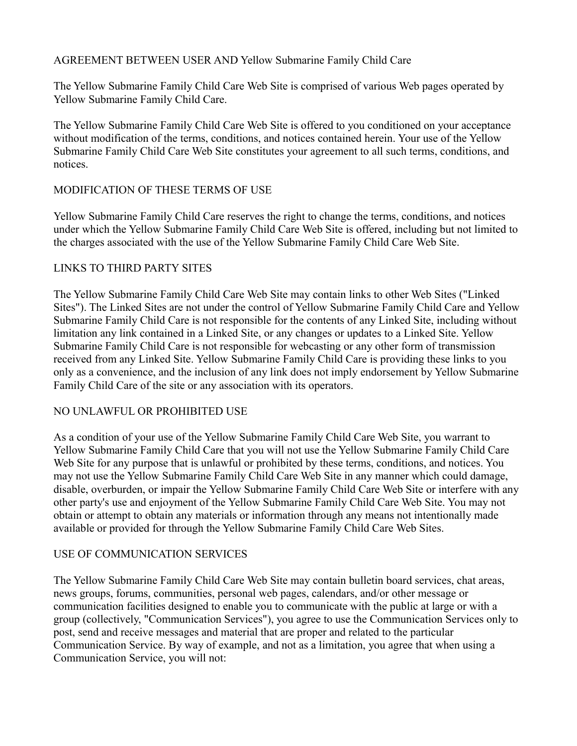# AGREEMENT BETWEEN USER AND Yellow Submarine Family Child Care

The Yellow Submarine Family Child Care Web Site is comprised of various Web pages operated by Yellow Submarine Family Child Care.

The Yellow Submarine Family Child Care Web Site is offered to you conditioned on your acceptance without modification of the terms, conditions, and notices contained herein. Your use of the Yellow Submarine Family Child Care Web Site constitutes your agreement to all such terms, conditions, and notices.

# MODIFICATION OF THESE TERMS OF USE

Yellow Submarine Family Child Care reserves the right to change the terms, conditions, and notices under which the Yellow Submarine Family Child Care Web Site is offered, including but not limited to the charges associated with the use of the Yellow Submarine Family Child Care Web Site.

# LINKS TO THIRD PARTY SITES

The Yellow Submarine Family Child Care Web Site may contain links to other Web Sites ("Linked Sites"). The Linked Sites are not under the control of Yellow Submarine Family Child Care and Yellow Submarine Family Child Care is not responsible for the contents of any Linked Site, including without limitation any link contained in a Linked Site, or any changes or updates to a Linked Site. Yellow Submarine Family Child Care is not responsible for webcasting or any other form of transmission received from any Linked Site. Yellow Submarine Family Child Care is providing these links to you only as a convenience, and the inclusion of any link does not imply endorsement by Yellow Submarine Family Child Care of the site or any association with its operators.

# NO UNLAWFUL OR PROHIBITED USE

As a condition of your use of the Yellow Submarine Family Child Care Web Site, you warrant to Yellow Submarine Family Child Care that you will not use the Yellow Submarine Family Child Care Web Site for any purpose that is unlawful or prohibited by these terms, conditions, and notices. You may not use the Yellow Submarine Family Child Care Web Site in any manner which could damage, disable, overburden, or impair the Yellow Submarine Family Child Care Web Site or interfere with any other party's use and enjoyment of the Yellow Submarine Family Child Care Web Site. You may not obtain or attempt to obtain any materials or information through any means not intentionally made available or provided for through the Yellow Submarine Family Child Care Web Sites.

# USE OF COMMUNICATION SERVICES

The Yellow Submarine Family Child Care Web Site may contain bulletin board services, chat areas, news groups, forums, communities, personal web pages, calendars, and/or other message or communication facilities designed to enable you to communicate with the public at large or with a group (collectively, "Communication Services"), you agree to use the Communication Services only to post, send and receive messages and material that are proper and related to the particular Communication Service. By way of example, and not as a limitation, you agree that when using a Communication Service, you will not: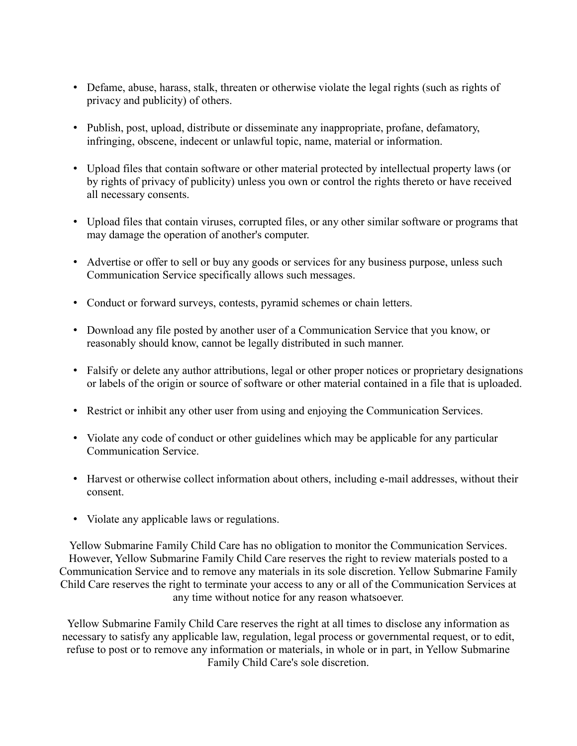- Defame, abuse, harass, stalk, threaten or otherwise violate the legal rights (such as rights of privacy and publicity) of others.
- Publish, post, upload, distribute or disseminate any inappropriate, profane, defamatory, infringing, obscene, indecent or unlawful topic, name, material or information.
- Upload files that contain software or other material protected by intellectual property laws (or by rights of privacy of publicity) unless you own or control the rights thereto or have received all necessary consents.
- Upload files that contain viruses, corrupted files, or any other similar software or programs that may damage the operation of another's computer.
- Advertise or offer to sell or buy any goods or services for any business purpose, unless such Communication Service specifically allows such messages.
- Conduct or forward surveys, contests, pyramid schemes or chain letters.
- Download any file posted by another user of a Communication Service that you know, or reasonably should know, cannot be legally distributed in such manner.
- Falsify or delete any author attributions, legal or other proper notices or proprietary designations or labels of the origin or source of software or other material contained in a file that is uploaded.
- Restrict or inhibit any other user from using and enjoying the Communication Services.
- Violate any code of conduct or other guidelines which may be applicable for any particular Communication Service.
- Harvest or otherwise collect information about others, including e-mail addresses, without their consent.
- Violate any applicable laws or regulations.

Yellow Submarine Family Child Care has no obligation to monitor the Communication Services. However, Yellow Submarine Family Child Care reserves the right to review materials posted to a Communication Service and to remove any materials in its sole discretion. Yellow Submarine Family Child Care reserves the right to terminate your access to any or all of the Communication Services at any time without notice for any reason whatsoever.

Yellow Submarine Family Child Care reserves the right at all times to disclose any information as necessary to satisfy any applicable law, regulation, legal process or governmental request, or to edit, refuse to post or to remove any information or materials, in whole or in part, in Yellow Submarine Family Child Care's sole discretion.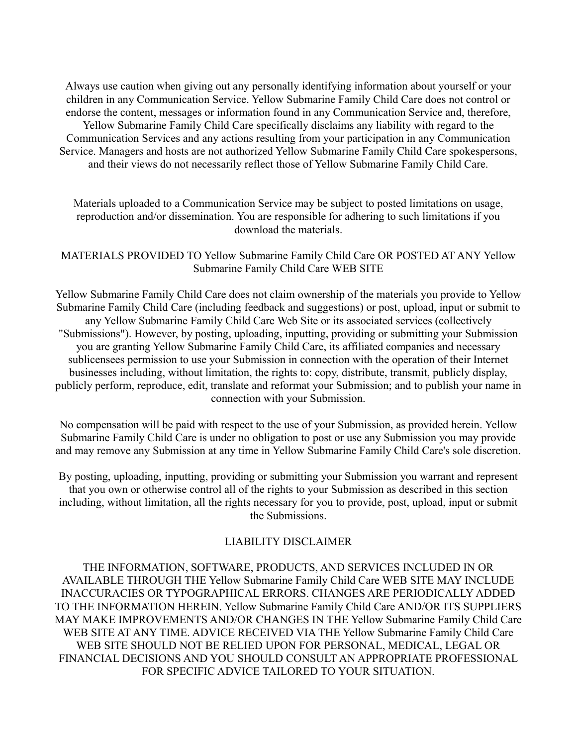Always use caution when giving out any personally identifying information about yourself or your children in any Communication Service. Yellow Submarine Family Child Care does not control or endorse the content, messages or information found in any Communication Service and, therefore, Yellow Submarine Family Child Care specifically disclaims any liability with regard to the Communication Services and any actions resulting from your participation in any Communication Service. Managers and hosts are not authorized Yellow Submarine Family Child Care spokespersons, and their views do not necessarily reflect those of Yellow Submarine Family Child Care.

Materials uploaded to a Communication Service may be subject to posted limitations on usage, reproduction and/or dissemination. You are responsible for adhering to such limitations if you download the materials.

### MATERIALS PROVIDED TO Yellow Submarine Family Child Care OR POSTED AT ANY Yellow Submarine Family Child Care WEB SITE

Yellow Submarine Family Child Care does not claim ownership of the materials you provide to Yellow Submarine Family Child Care (including feedback and suggestions) or post, upload, input or submit to any Yellow Submarine Family Child Care Web Site or its associated services (collectively "Submissions"). However, by posting, uploading, inputting, providing or submitting your Submission you are granting Yellow Submarine Family Child Care, its affiliated companies and necessary sublicensees permission to use your Submission in connection with the operation of their Internet businesses including, without limitation, the rights to: copy, distribute, transmit, publicly display, publicly perform, reproduce, edit, translate and reformat your Submission; and to publish your name in connection with your Submission.

No compensation will be paid with respect to the use of your Submission, as provided herein. Yellow Submarine Family Child Care is under no obligation to post or use any Submission you may provide and may remove any Submission at any time in Yellow Submarine Family Child Care's sole discretion.

By posting, uploading, inputting, providing or submitting your Submission you warrant and represent that you own or otherwise control all of the rights to your Submission as described in this section including, without limitation, all the rights necessary for you to provide, post, upload, input or submit the Submissions.

# LIABILITY DISCLAIMER

THE INFORMATION, SOFTWARE, PRODUCTS, AND SERVICES INCLUDED IN OR AVAILABLE THROUGH THE Yellow Submarine Family Child Care WEB SITE MAY INCLUDE INACCURACIES OR TYPOGRAPHICAL ERRORS. CHANGES ARE PERIODICALLY ADDED TO THE INFORMATION HEREIN. Yellow Submarine Family Child Care AND/OR ITS SUPPLIERS MAY MAKE IMPROVEMENTS AND/OR CHANGES IN THE Yellow Submarine Family Child Care WEB SITE AT ANY TIME. ADVICE RECEIVED VIA THE Yellow Submarine Family Child Care WEB SITE SHOULD NOT BE RELIED UPON FOR PERSONAL, MEDICAL, LEGAL OR FINANCIAL DECISIONS AND YOU SHOULD CONSULT AN APPROPRIATE PROFESSIONAL FOR SPECIFIC ADVICE TAILORED TO YOUR SITUATION.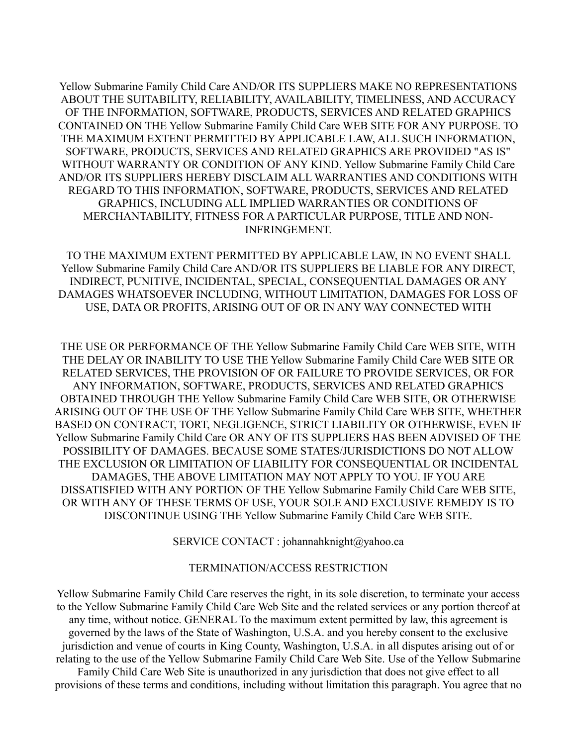Yellow Submarine Family Child Care AND/OR ITS SUPPLIERS MAKE NO REPRESENTATIONS ABOUT THE SUITABILITY, RELIABILITY, AVAILABILITY, TIMELINESS, AND ACCURACY OF THE INFORMATION, SOFTWARE, PRODUCTS, SERVICES AND RELATED GRAPHICS CONTAINED ON THE Yellow Submarine Family Child Care WEB SITE FOR ANY PURPOSE. TO THE MAXIMUM EXTENT PERMITTED BY APPLICABLE LAW, ALL SUCH INFORMATION, SOFTWARE, PRODUCTS, SERVICES AND RELATED GRAPHICS ARE PROVIDED "AS IS" WITHOUT WARRANTY OR CONDITION OF ANY KIND. Yellow Submarine Family Child Care AND/OR ITS SUPPLIERS HEREBY DISCLAIM ALL WARRANTIES AND CONDITIONS WITH REGARD TO THIS INFORMATION, SOFTWARE, PRODUCTS, SERVICES AND RELATED GRAPHICS, INCLUDING ALL IMPLIED WARRANTIES OR CONDITIONS OF MERCHANTABILITY, FITNESS FOR A PARTICULAR PURPOSE, TITLE AND NON-INFRINGEMENT.

TO THE MAXIMUM EXTENT PERMITTED BY APPLICABLE LAW, IN NO EVENT SHALL Yellow Submarine Family Child Care AND/OR ITS SUPPLIERS BE LIABLE FOR ANY DIRECT, INDIRECT, PUNITIVE, INCIDENTAL, SPECIAL, CONSEQUENTIAL DAMAGES OR ANY DAMAGES WHATSOEVER INCLUDING, WITHOUT LIMITATION, DAMAGES FOR LOSS OF USE, DATA OR PROFITS, ARISING OUT OF OR IN ANY WAY CONNECTED WITH

THE USE OR PERFORMANCE OF THE Yellow Submarine Family Child Care WEB SITE, WITH THE DELAY OR INABILITY TO USE THE Yellow Submarine Family Child Care WEB SITE OR RELATED SERVICES, THE PROVISION OF OR FAILURE TO PROVIDE SERVICES, OR FOR ANY INFORMATION, SOFTWARE, PRODUCTS, SERVICES AND RELATED GRAPHICS OBTAINED THROUGH THE Yellow Submarine Family Child Care WEB SITE, OR OTHERWISE ARISING OUT OF THE USE OF THE Yellow Submarine Family Child Care WEB SITE, WHETHER BASED ON CONTRACT, TORT, NEGLIGENCE, STRICT LIABILITY OR OTHERWISE, EVEN IF Yellow Submarine Family Child Care OR ANY OF ITS SUPPLIERS HAS BEEN ADVISED OF THE POSSIBILITY OF DAMAGES. BECAUSE SOME STATES/JURISDICTIONS DO NOT ALLOW THE EXCLUSION OR LIMITATION OF LIABILITY FOR CONSEQUENTIAL OR INCIDENTAL DAMAGES, THE ABOVE LIMITATION MAY NOT APPLY TO YOU. IF YOU ARE DISSATISFIED WITH ANY PORTION OF THE Yellow Submarine Family Child Care WEB SITE, OR WITH ANY OF THESE TERMS OF USE, YOUR SOLE AND EXCLUSIVE REMEDY IS TO DISCONTINUE USING THE Yellow Submarine Family Child Care WEB SITE.

SERVICE CONTACT : johannahknight@yahoo.ca

#### TERMINATION/ACCESS RESTRICTION

Yellow Submarine Family Child Care reserves the right, in its sole discretion, to terminate your access to the Yellow Submarine Family Child Care Web Site and the related services or any portion thereof at any time, without notice. GENERAL To the maximum extent permitted by law, this agreement is governed by the laws of the State of Washington, U.S.A. and you hereby consent to the exclusive jurisdiction and venue of courts in King County, Washington, U.S.A. in all disputes arising out of or relating to the use of the Yellow Submarine Family Child Care Web Site. Use of the Yellow Submarine Family Child Care Web Site is unauthorized in any jurisdiction that does not give effect to all provisions of these terms and conditions, including without limitation this paragraph. You agree that no